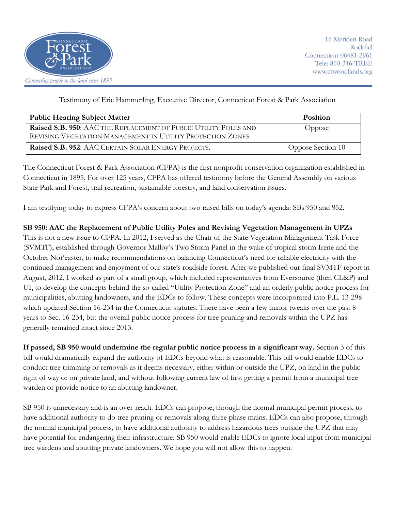

Testimony of Eric Hammerling, Executive Director, Connecticut Forest & Park Association

| <b>Public Hearing Subject Matter</b>                                                                                            | <b>Position</b>   |
|---------------------------------------------------------------------------------------------------------------------------------|-------------------|
| Raised S.B. 950: AAC THE REPLACEMENT OF PUBLIC UTILITY POLES AND<br>REVISING VEGETATION MANAGEMENT IN UTILITY PROTECTION ZONES. | Oppose            |
| Raised S.B. 952: AAC CERTAIN SOLAR ENERGY PROJECTS.                                                                             | Oppose Section 10 |

The Connecticut Forest & Park Association (CFPA) is the first nonprofit conservation organization established in Connecticut in 1895. For over 125 years, CFPA has offered testimony before the General Assembly on various State Park and Forest, trail recreation, sustainable forestry, and land conservation issues.

I am testifying today to express CFPA's concern about two raised bills on today's agenda: SBs 950 and 952.

**SB 950: AAC the Replacement of Public Utility Poles and Revising Vegetation Management in UPZs**

This is not a new issue to CFPA. In 2012, I served as the Chair of the State Vegetation Management Task Force (SVMTF), established through Governor Malloy's Two Storm Panel in the wake of tropical storm Irene and the October Nor'easter, to make recommendations on balancing Connecticut's need for reliable electricity with the continued management and enjoyment of our state's roadside forest. After we published our final SVMTF report in August, 2012, I worked as part of a small group, which included representatives from Eversource (then CL&P) and UI, to develop the concepts behind the so-called "Utility Protection Zone" and an orderly public notice process for municipalities, abutting landowners, and the EDCs to follow. These concepts were incorporated into P.L. 13-298 which updated Section 16-234 in the Connecticut statutes. There have been a few minor tweaks over the past 8 years to Sec. 16-234, but the overall public notice process for tree pruning and removals within the UPZ has generally remained intact since 2013.

**If passed, SB 950 would undermine the regular public notice process in a significant way.** Section 3 of this bill would dramatically expand the authority of EDCs beyond what is reasonable. This bill would enable EDCs to conduct tree trimming or removals as it deems necessary, either within or outside the UPZ, on land in the public right of way or on private land, and without following current law of first getting a permit from a municipal tree warden or provide notice to an abutting landowner.

SB 950 is unnecessary and is an over-reach. EDCs can propose, through the normal municipal permit process, to have additional authority to do tree pruning or removals along three phase mains. EDCs can also propose, through the normal municipal process, to have additional authority to address hazardous trees outside the UPZ that may have potential for endangering their infrastructure. SB 950 would enable EDCs to ignore local input from municipal tree wardens and abutting private landowners. We hope you will not allow this to happen.